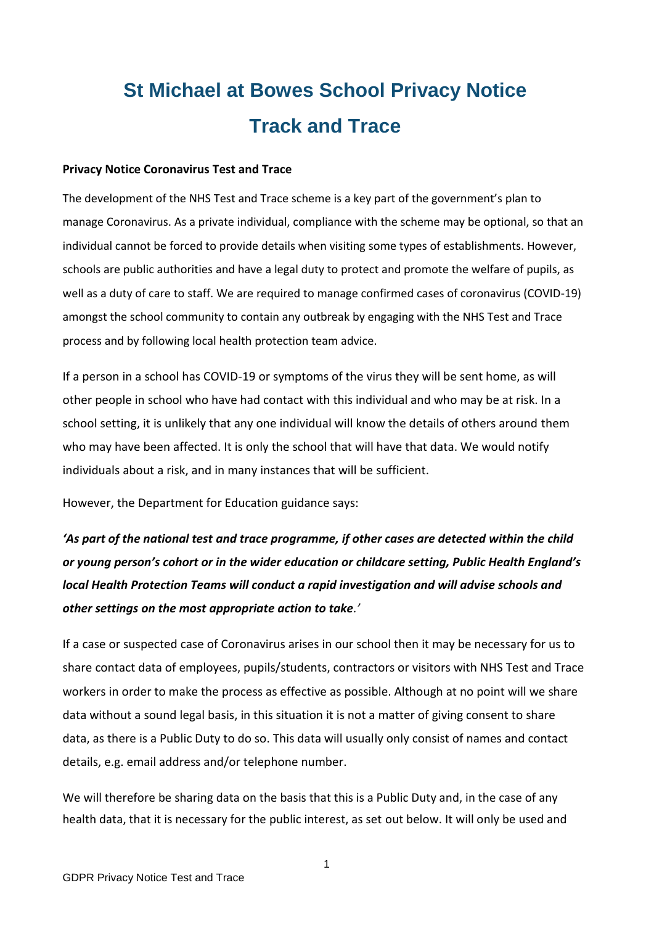# **St Michael at Bowes School Privacy Notice Track and Trace**

### **Privacy Notice Coronavirus Test and Trace**

The development of the NHS Test and Trace scheme is a key part of the government's plan to manage Coronavirus. As a private individual, compliance with the scheme may be optional, so that an individual cannot be forced to provide details when visiting some types of establishments. However, schools are public authorities and have a legal duty to protect and promote the welfare of pupils, as well as a duty of care to staff. We are required to manage confirmed cases of coronavirus (COVID-19) amongst the school community to contain any outbreak by engaging with the NHS Test and Trace process and by following local health protection team advice.

If a person in a school has COVID-19 or symptoms of the virus they will be sent home, as will other people in school who have had contact with this individual and who may be at risk. In a school setting, it is unlikely that any one individual will know the details of others around them who may have been affected. It is only the school that will have that data. We would notify individuals about a risk, and in many instances that will be sufficient.

However, the Department for Education guidance says:

*'As part of the national test and trace programme, if other cases are detected within the child or young person's cohort or in the wider education or childcare setting, Public Health England's local Health Protection Teams will conduct a rapid investigation and will advise schools and other settings on the most appropriate action to take.'*

If a case or suspected case of Coronavirus arises in our school then it may be necessary for us to share contact data of employees, pupils/students, contractors or visitors with NHS Test and Trace workers in order to make the process as effective as possible. Although at no point will we share data without a sound legal basis, in this situation it is not a matter of giving consent to share data, as there is a Public Duty to do so. This data will usually only consist of names and contact details, e.g. email address and/or telephone number.

We will therefore be sharing data on the basis that this is a Public Duty and, in the case of any health data, that it is necessary for the public interest, as set out below. It will only be used and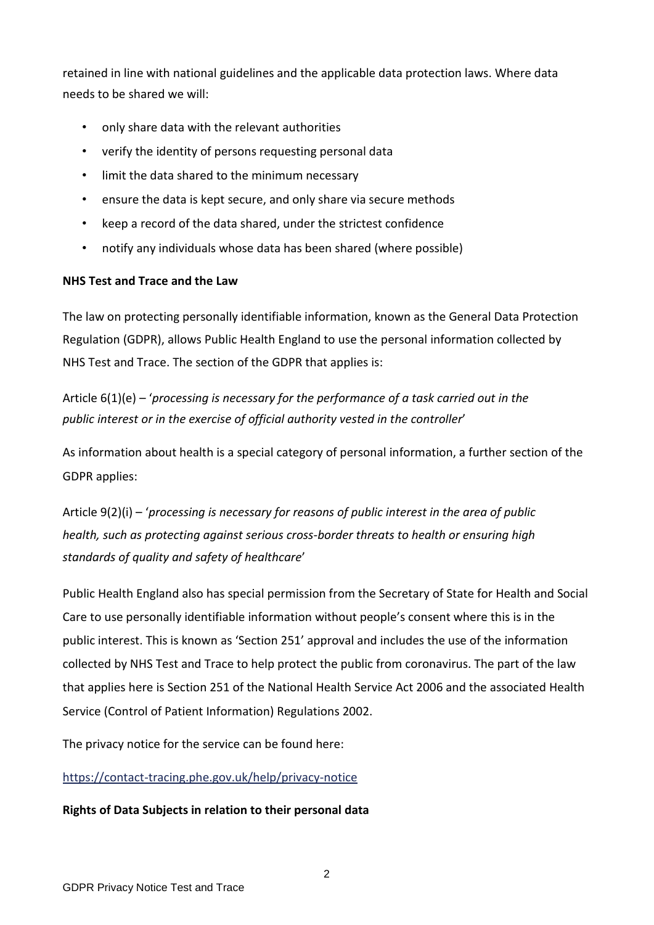retained in line with national guidelines and the applicable data protection laws. Where data needs to be shared we will:

- only share data with the relevant authorities
- verify the identity of persons requesting personal data
- limit the data shared to the minimum necessary
- ensure the data is kept secure, and only share via secure methods
- keep a record of the data shared, under the strictest confidence
- notify any individuals whose data has been shared (where possible)

## **NHS Test and Trace and the Law**

The law on protecting personally identifiable information, known as the General Data Protection Regulation (GDPR), allows Public Health England to use the personal information collected by NHS Test and Trace. The section of the GDPR that applies is:

Article 6(1)(e) – '*processing is necessary for the performance of a task carried out in the public interest or in the exercise of official authority vested in the controller*'

As information about health is a special category of personal information, a further section of the GDPR applies:

Article 9(2)(i) – '*processing is necessary for reasons of public interest in the area of public health, such as protecting against serious cross-border threats to health or ensuring high standards of quality and safety of healthcare*'

Public Health England also has special permission from the Secretary of State for Health and Social Care to use personally identifiable information without people's consent where this is in the public interest. This is known as 'Section 251' approval and includes the use of the information collected by NHS Test and Trace to help protect the public from coronavirus. The part of the law that applies here is Section 251 of the National Health Service Act 2006 and the associated Health Service (Control of Patient Information) Regulations 2002.

The privacy notice for the service can be found here:

## <https://contact-tracing.phe.gov.uk/help/privacy-notice>

## **Rights of Data Subjects in relation to their personal data**